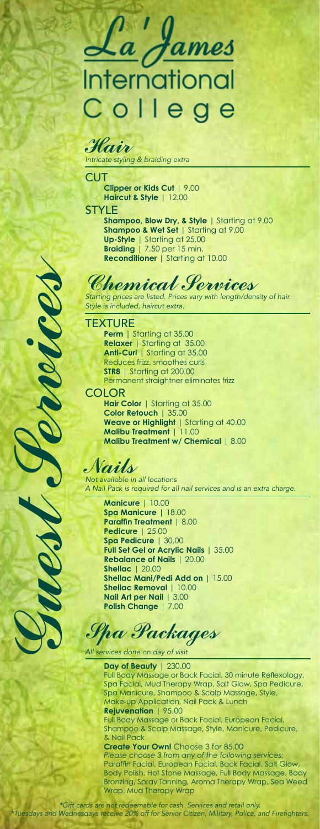# <u>La James</u> **International** College

Hair *Intricate styling & braiding extra*

**CUT Clipper or Kids Cut** | 9.00 **Haircut & Style** | 12.00

STYLE **Shampoo, Blow Dry, & Style** | Starting at 9.00 **Shampoo & Wet Set** | Starting at 9.00 **Up-Style** | Starting at 25.00 **Braiding** | 7.50 per 15 min. **Reconditioner** | Starting at 10.00

Chemical Services

*Starting prices are listed. Prices vary with length/density of hair. Style is included, haircut extra.*

**TEXTURE Perm** | Starting at 35.00 **Relaxer** | Starting at 35.00 **Anti-Curl** | Starting at 35.00 Reduces frizz, smoothes curls **STR8** | Starting at 200.00 Permanent straightner eliminates frizz

**COLOR Hair Color** | Starting at 35.00 **Color Retouch** | 35.00 **Weave or Highlight** | Starting at 40.00 **Malibu Treatment** | 11.00 **Malibu Treatment w/ Chemical** | 8.00

Nails

Guest Services

2000

*Not available in all locations A Nail Pack is required for all nail services and is an extra charge.*

**Manicure** | 10.00 **Spa Manicure** | 18.00 **Paraffin Treatment** | 8.00 **Pedicure** | 25.00 **Spa Pedicure** | 30.00 **Full Set Gel or Acrylic Nails** | 35.00 **Rebalance of Nails** | 20.00 **Shellac** | 20.00 **Shellac Mani/Pedi Add on** | 15.00 **Shellac Removal** | 10.00<br>**Nail Art per Nail** | 3.00 **Nail Art per Nail | Polish Change** | 7.00

Spa Packages

*All services done on day of visit*

#### **Day of Beauty** | 230.00

Full Body Massage or Back Facial, 30 minute Reflexology, Spa Facial, Mud Therapy Wrap, Salt Glow, Spa Pedicure, Spa Manicure, Shampoo & Scalp Massage, Style, Make-up Application, Nail Pack & Lunch

**Rejuvenation** | 95.00

Full Body Massage or Back Facial, European Facial, Shampoo & Scalp Massage, Style, Manicure, Pedicure, & Nail Pack

**Create Your Own!** Choose 3 for 85.00 *Please choose 3 from any of the following services:* Paraffin Facial, European Facial, Back Facial, Salt Glow, Body Polish, Hot Stone Massage, Full Body Massage, Body Bronzing, Spray Tanning, Aroma Therapy Wrap, Sea Weed Wrap, Mud Therapy Wrap

*\*Gift cards are not redeemable for cash. Services and retail only.* \*Tuesdays and Wednesdays receive 20% off for Senior Citizen, Military, Police, and Firefighters.